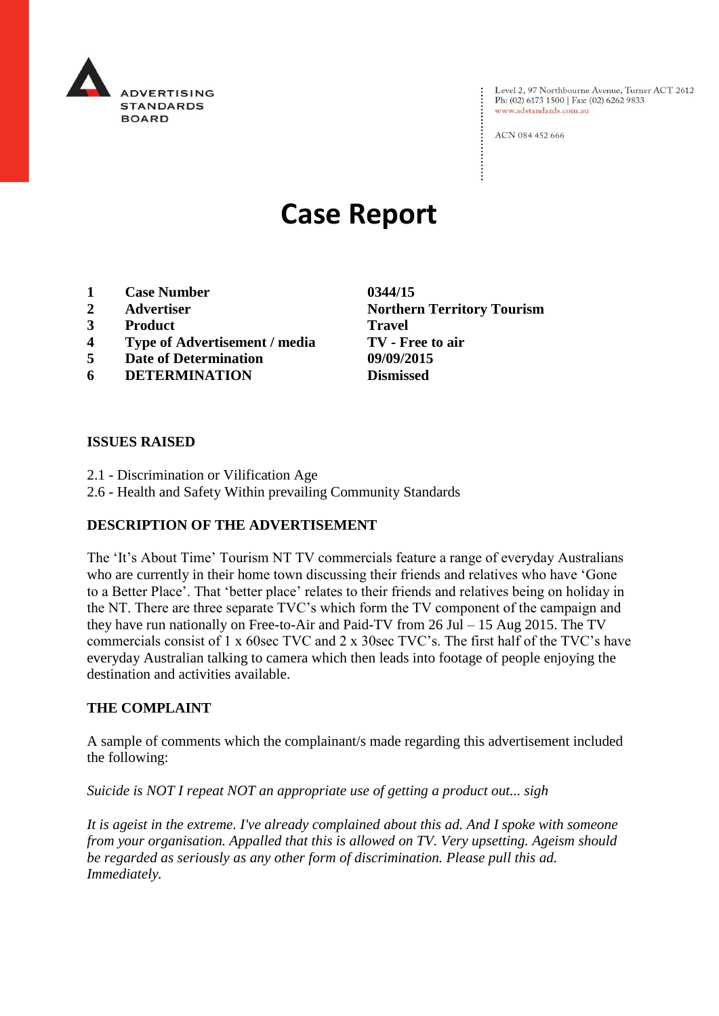

Level 2, 97 Northbourne Avenue, Turner ACT 2612<br>Ph: (02) 6173 1500 | Fax: (02) 6262 9833 www.adstandards.com.au

ACN 084 452 666

# **Case Report**

- **1 Case Number 0344/15**
- **2 Advertiser Northern Territory Tourism**
- **3 Product Travel**
- **4 Type of Advertisement / media TV - Free to air**
- **5 Date of Determination 09/09/2015**
- **6 DETERMINATION Dismissed**

### **ISSUES RAISED**

- 2.1 Discrimination or Vilification Age
- 2.6 Health and Safety Within prevailing Community Standards

## **DESCRIPTION OF THE ADVERTISEMENT**

The 'It's About Time' Tourism NT TV commercials feature a range of everyday Australians who are currently in their home town discussing their friends and relatives who have 'Gone to a Better Place'. That 'better place' relates to their friends and relatives being on holiday in the NT. There are three separate TVC's which form the TV component of the campaign and they have run nationally on Free-to-Air and Paid-TV from 26 Jul – 15 Aug 2015. The TV commercials consist of 1 x 60sec TVC and 2 x 30sec TVC's. The first half of the TVC's have everyday Australian talking to camera which then leads into footage of people enjoying the destination and activities available.

#### **THE COMPLAINT**

A sample of comments which the complainant/s made regarding this advertisement included the following:

*Suicide is NOT I repeat NOT an appropriate use of getting a product out... sigh*

*It is ageist in the extreme. I've already complained about this ad. And I spoke with someone from your organisation. Appalled that this is allowed on TV. Very upsetting. Ageism should be regarded as seriously as any other form of discrimination. Please pull this ad. Immediately.*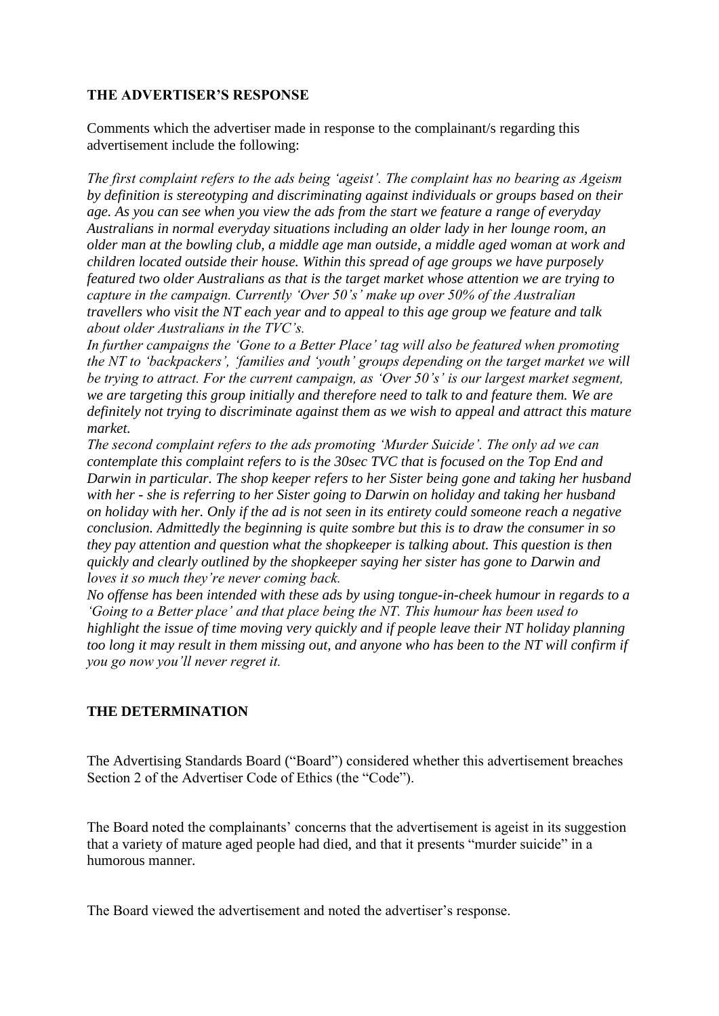## **THE ADVERTISER'S RESPONSE**

Comments which the advertiser made in response to the complainant/s regarding this advertisement include the following:

*The first complaint refers to the ads being 'ageist'. The complaint has no bearing as Ageism by definition is stereotyping and discriminating against individuals or groups based on their age. As you can see when you view the ads from the start we feature a range of everyday Australians in normal everyday situations including an older lady in her lounge room, an older man at the bowling club, a middle age man outside, a middle aged woman at work and children located outside their house. Within this spread of age groups we have purposely featured two older Australians as that is the target market whose attention we are trying to capture in the campaign. Currently 'Over 50's' make up over 50% of the Australian travellers who visit the NT each year and to appeal to this age group we feature and talk about older Australians in the TVC's.*

*In further campaigns the 'Gone to a Better Place' tag will also be featured when promoting the NT to 'backpackers', 'families and 'youth' groups depending on the target market we will be trying to attract. For the current campaign, as 'Over 50's' is our largest market segment, we are targeting this group initially and therefore need to talk to and feature them. We are definitely not trying to discriminate against them as we wish to appeal and attract this mature market.*

*The second complaint refers to the ads promoting 'Murder Suicide'. The only ad we can contemplate this complaint refers to is the 30sec TVC that is focused on the Top End and Darwin in particular. The shop keeper refers to her Sister being gone and taking her husband with her - she is referring to her Sister going to Darwin on holiday and taking her husband on holiday with her. Only if the ad is not seen in its entirety could someone reach a negative conclusion. Admittedly the beginning is quite sombre but this is to draw the consumer in so they pay attention and question what the shopkeeper is talking about. This question is then quickly and clearly outlined by the shopkeeper saying her sister has gone to Darwin and loves it so much they're never coming back.*

*No offense has been intended with these ads by using tongue-in-cheek humour in regards to a 'Going to a Better place' and that place being the NT. This humour has been used to highlight the issue of time moving very quickly and if people leave their NT holiday planning too long it may result in them missing out, and anyone who has been to the NT will confirm if you go now you'll never regret it.*

# **THE DETERMINATION**

The Advertising Standards Board ("Board") considered whether this advertisement breaches Section 2 of the Advertiser Code of Ethics (the "Code").

The Board noted the complainants' concerns that the advertisement is ageist in its suggestion that a variety of mature aged people had died, and that it presents "murder suicide" in a humorous manner.

The Board viewed the advertisement and noted the advertiser's response.